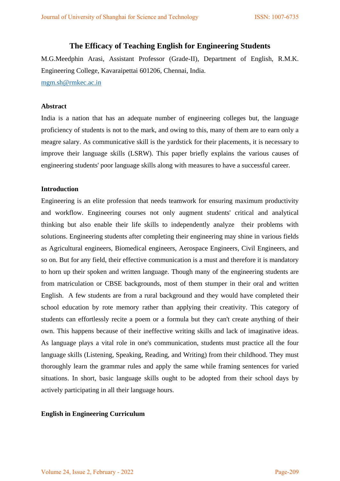# **The Efficacy of Teaching English for Engineering Students**

M.G.Meedphin Arasi, Assistant Professor (Grade-II), Department of English, R.M.K. Engineering College, Kavaraipettai 601206, Chennai, India.

[mgm.sh@rmkec.ac.in](mailto:mgm.sh@rmkec.ac.in)

## **Abstract**

India is a nation that has an adequate number of engineering colleges but, the language proficiency of students is not to the mark, and owing to this, many of them are to earn only a meagre salary. As communicative skill is the yardstick for their placements, it is necessary to improve their language skills (LSRW). This paper briefly explains the various causes of engineering students' poor language skills along with measures to have a successful career.

## **Introduction**

Engineering is an elite profession that needs teamwork for ensuring maximum productivity and workflow. Engineering courses not only augment students' critical and analytical thinking but also enable their life skills to independently analyze their problems with solutions. Engineering students after completing their engineering may shine in various fields as Agricultural engineers, Biomedical engineers, Aerospace Engineers, Civil Engineers, and so on. But for any field, their effective communication is a must and therefore it is mandatory to horn up their spoken and written language. Though many of the engineering students are from matriculation or CBSE backgrounds, most of them stumper in their oral and written English. A few students are from a rural background and they would have completed their school education by rote memory rather than applying their creativity. This category of students can effortlessly recite a poem or a formula but they can't create anything of their own. This happens because of their ineffective writing skills and lack of imaginative ideas. As language plays a vital role in one's communication, students must practice all the four language skills (Listening, Speaking, Reading, and Writing) from their childhood. They must thoroughly learn the grammar rules and apply the same while framing sentences for varied situations. In short, basic language skills ought to be adopted from their school days by actively participating in all their language hours.

#### **English in Engineering Curriculum**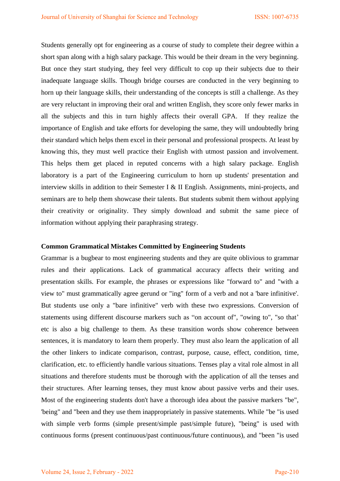Students generally opt for engineering as a course of study to complete their degree within a short span along with a high salary package. This would be their dream in the very beginning. But once they start studying, they feel very difficult to cop up their subjects due to their inadequate language skills. Though bridge courses are conducted in the very beginning to horn up their language skills, their understanding of the concepts is still a challenge. As they are very reluctant in improving their oral and written English, they score only fewer marks in all the subjects and this in turn highly affects their overall GPA. If they realize the importance of English and take efforts for developing the same, they will undoubtedly bring their standard which helps them excel in their personal and professional prospects. At least by knowing this, they must well practice their English with utmost passion and involvement. This helps them get placed in reputed concerns with a high salary package. English laboratory is a part of the Engineering curriculum to horn up students' presentation and interview skills in addition to their Semester I & II English. Assignments, mini-projects, and seminars are to help them showcase their talents. But students submit them without applying their creativity or originality. They simply download and submit the same piece of information without applying their paraphrasing strategy.

## **Common Grammatical Mistakes Committed by Engineering Students**

Grammar is a bugbear to most engineering students and they are quite oblivious to grammar rules and their applications. Lack of grammatical accuracy affects their writing and presentation skills. For example, the phrases or expressions like "forward to" and "with a view to" must grammatically agree gerund or "ing" form of a verb and not a 'bare infinitive'. But students use only a "bare infinitive" verb with these two expressions. Conversion of statements using different discourse markers such as "on account of", "owing to", "so that' etc is also a big challenge to them. As these transition words show coherence between sentences, it is mandatory to learn them properly. They must also learn the application of all the other linkers to indicate comparison, contrast, purpose, cause, effect, condition, time, clarification, etc. to efficiently handle various situations. Tenses play a vital role almost in all situations and therefore students must be thorough with the application of all the tenses and their structures. After learning tenses, they must know about passive verbs and their uses. Most of the engineering students don't have a thorough idea about the passive markers "be", 'being" and "been and they use them inappropriately in passive statements. While "be "is used with simple verb forms (simple present/simple past/simple future), "being" is used with continuous forms (present continuous/past continuous/future continuous), and "been "is used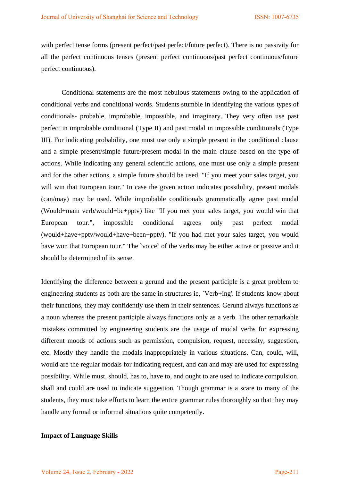with perfect tense forms (present perfect/past perfect/future perfect). There is no passivity for all the perfect continuous tenses (present perfect continuous/past perfect continuous/future perfect continuous).

 Conditional statements are the most nebulous statements owing to the application of conditional verbs and conditional words. Students stumble in identifying the various types of conditionals- probable, improbable, impossible, and imaginary. They very often use past perfect in improbable conditional (Type II) and past modal in impossible conditionals (Type III). For indicating probability, one must use only a simple present in the conditional clause and a simple present/simple future/present modal in the main clause based on the type of actions. While indicating any general scientific actions, one must use only a simple present and for the other actions, a simple future should be used. "If you meet your sales target, you will win that European tour." In case the given action indicates possibility, present modals (can/may) may be used. While improbable conditionals grammatically agree past modal (Would+main verb/would+be+pptv) like "If you met your sales target, you would win that European tour.", impossible conditional agrees only past perfect modal (would+have+pptv/would+have+been+pptv). "If you had met your sales target, you would have won that European tour." The 'voice' of the verbs may be either active or passive and it should be determined of its sense.

Identifying the difference between a gerund and the present participle is a great problem to engineering students as both are the same in structures ie, `Verb+ing'. If students know about their functions, they may confidently use them in their sentences. Gerund always functions as a noun whereas the present participle always functions only as a verb. The other remarkable mistakes committed by engineering students are the usage of modal verbs for expressing different moods of actions such as permission, compulsion, request, necessity, suggestion, etc. Mostly they handle the modals inappropriately in various situations. Can, could, will, would are the regular modals for indicating request, and can and may are used for expressing possibility. While must, should, has to, have to, and ought to are used to indicate compulsion, shall and could are used to indicate suggestion. Though grammar is a scare to many of the students, they must take efforts to learn the entire grammar rules thoroughly so that they may handle any formal or informal situations quite competently.

#### **Impact of Language Skills**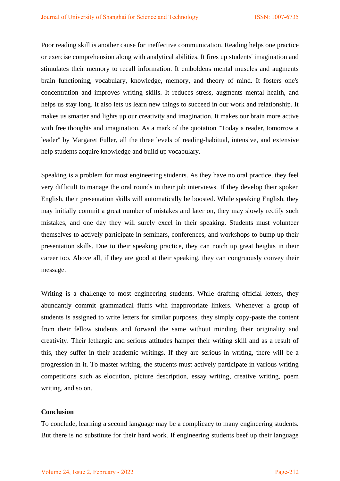Poor reading skill is another cause for ineffective communication. Reading helps one practice or exercise comprehension along with analytical abilities. It fires up students' imagination and stimulates their memory to recall information. It emboldens mental muscles and augments brain functioning, vocabulary, knowledge, memory, and theory of mind. It fosters one's concentration and improves writing skills. It reduces stress, augments mental health, and helps us stay long. It also lets us learn new things to succeed in our work and relationship. It makes us smarter and lights up our creativity and imagination. It makes our brain more active with free thoughts and imagination. As a mark of the quotation "Today a reader, tomorrow a leader'' by Margaret Fuller, all the three levels of reading-habitual, intensive, and extensive help students acquire knowledge and build up vocabulary.

Speaking is a problem for most engineering students. As they have no oral practice, they feel very difficult to manage the oral rounds in their job interviews. If they develop their spoken English, their presentation skills will automatically be boosted. While speaking English, they may initially commit a great number of mistakes and later on, they may slowly rectify such mistakes, and one day they will surely excel in their speaking. Students must volunteer themselves to actively participate in seminars, conferences, and workshops to bump up their presentation skills. Due to their speaking practice, they can notch up great heights in their career too. Above all, if they are good at their speaking, they can congruously convey their message.

Writing is a challenge to most engineering students. While drafting official letters, they abundantly commit grammatical fluffs with inappropriate linkers. Whenever a group of students is assigned to write letters for similar purposes, they simply copy-paste the content from their fellow students and forward the same without minding their originality and creativity. Their lethargic and serious attitudes hamper their writing skill and as a result of this, they suffer in their academic writings. If they are serious in writing, there will be a progression in it. To master writing, the students must actively participate in various writing competitions such as elocution, picture description, essay writing, creative writing, poem writing, and so on.

#### **Conclusion**

To conclude, learning a second language may be a complicacy to many engineering students. But there is no substitute for their hard work. If engineering students beef up their language